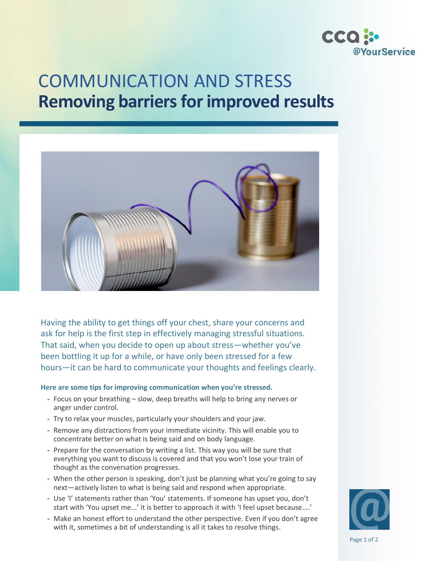

## COMMUNICATION AND STRESS **Removing barriers for improved results**



Having the ability to get things off your chest, share your concerns and ask for help is the first step in effectively managing stressful situations. That said, when you decide to open up about stress—whether you've been bottling it up for a while, or have only been stressed for a few hours—it can be hard to communicate your thoughts and feelings clearly.

## **Here are some tips for improving communication when you're stressed.**

- **-** Focus on your breathing slow, deep breaths will help to bring any nerves or anger under control.
- **-** Try to relax your muscles, particularly your shoulders and your jaw.
- **-** Remove any distractions from your immediate vicinity. This will enable you to concentrate better on what is being said and on body language.
- **-** Prepare for the conversation by writing a list. This way you will be sure that everything you want to discuss is covered and that you won't lose your train of thought as the conversation progresses.
- **-** When the other person is speaking, don't just be planning what you're going to say next—actively listen to what is being said and respond when appropriate.
- **-** Use 'I' statements rather than 'You' statements. If someone has upset you, don't start with 'You upset me...' it is better to approach it with 'I feel upset because....'
- **-** Make an honest effort to understand the other perspective. Even if you don't agree with it, sometimes a bit of understanding is all it takes to resolve things.



Page 1 of 2